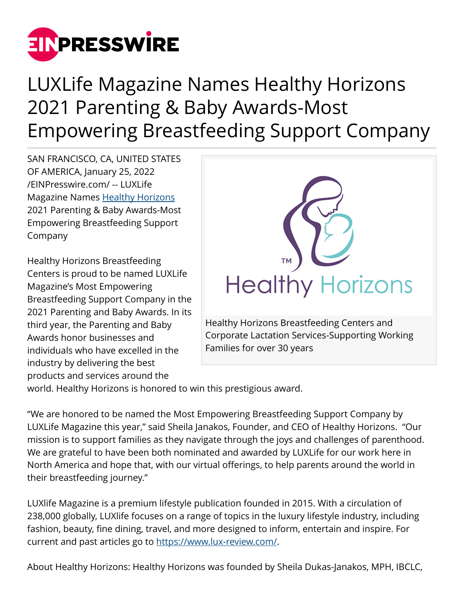

## LUXLife Magazine Names Healthy Horizons 2021 Parenting & Baby Awards-Most Empowering Breastfeeding Support Company

SAN FRANCISCO, CA, UNITED STATES OF AMERICA, January 25, 2022 [/EINPresswire.com/](http://www.einpresswire.com) -- LUXLife Magazine Names [Healthy Horizons](http://www.healthyhorizons.com) 2021 Parenting & Baby Awards-Most Empowering Breastfeeding Support Company

Healthy Horizons Breastfeeding Centers is proud to be named LUXLife Magazine's Most Empowering Breastfeeding Support Company in the 2021 Parenting and Baby Awards. In its third year, the Parenting and Baby Awards honor businesses and individuals who have excelled in the industry by delivering the best products and services around the



world. Healthy Horizons is honored to win this prestigious award.

"We are honored to be named the Most Empowering Breastfeeding Support Company by LUXLife Magazine this year," said Sheila Janakos, Founder, and CEO of Healthy Horizons. "Our mission is to support families as they navigate through the joys and challenges of parenthood. We are grateful to have been both nominated and awarded by LUXLife for our work here in North America and hope that, with our virtual offerings, to help parents around the world in their breastfeeding journey."

LUXlife Magazine is a premium lifestyle publication founded in 2015. With a circulation of 238,000 globally, LUXlife focuses on a range of topics in the luxury lifestyle industry, including fashion, beauty, fine dining, travel, and more designed to inform, entertain and inspire. For current and past articles go to [https://www.lux-review.com/.](https://www.lux-review.com/)

About Healthy Horizons: Healthy Horizons was founded by Sheila Dukas-Janakos, MPH, IBCLC,